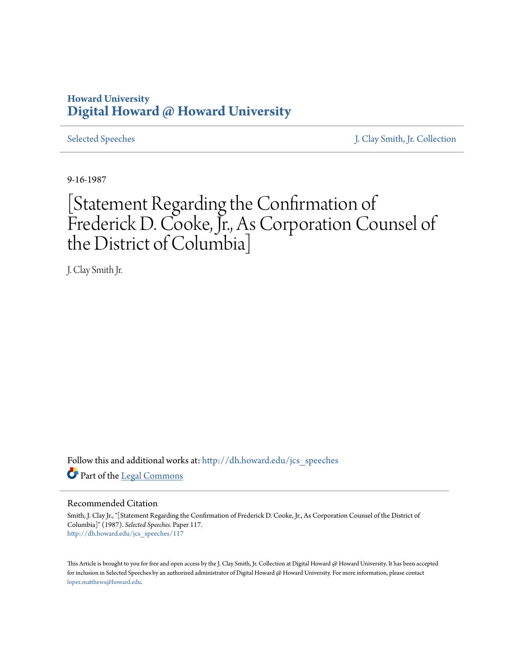## **Howard University [Digital Howard @ Howard University](http://dh.howard.edu?utm_source=dh.howard.edu%2Fjcs_speeches%2F117&utm_medium=PDF&utm_campaign=PDFCoverPages)**

[Selected Speeches](http://dh.howard.edu/jcs_speeches?utm_source=dh.howard.edu%2Fjcs_speeches%2F117&utm_medium=PDF&utm_campaign=PDFCoverPages) [J. Clay Smith, Jr. Collection](http://dh.howard.edu/jcsmith?utm_source=dh.howard.edu%2Fjcs_speeches%2F117&utm_medium=PDF&utm_campaign=PDFCoverPages)

9-16-1987

## [Statement Regarding the Confirmation of Frederick D. Cooke, Jr., As Corporation Counsel of the District of Columbia]

J. Clay Smith Jr.

Follow this and additional works at: [http://dh.howard.edu/jcs\\_speeches](http://dh.howard.edu/jcs_speeches?utm_source=dh.howard.edu%2Fjcs_speeches%2F117&utm_medium=PDF&utm_campaign=PDFCoverPages) Part of the [Legal Commons](http://network.bepress.com/hgg/discipline/502?utm_source=dh.howard.edu%2Fjcs_speeches%2F117&utm_medium=PDF&utm_campaign=PDFCoverPages)

## Recommended Citation

Smith, J. Clay Jr., "[Statement Regarding the Confirmation of Frederick D. Cooke, Jr., As Corporation Counsel of the District of Columbia]" (1987). *Selected Speeches.* Paper 117. [http://dh.howard.edu/jcs\\_speeches/117](http://dh.howard.edu/jcs_speeches/117?utm_source=dh.howard.edu%2Fjcs_speeches%2F117&utm_medium=PDF&utm_campaign=PDFCoverPages)

This Article is brought to you for free and open access by the J. Clay Smith, Jr. Collection at Digital Howard @ Howard University. It has been accepted for inclusion in Selected Speeches by an authorized administrator of Digital Howard @ Howard University. For more information, please contact [lopez.matthews@howard.edu.](mailto:lopez.matthews@howard.edu)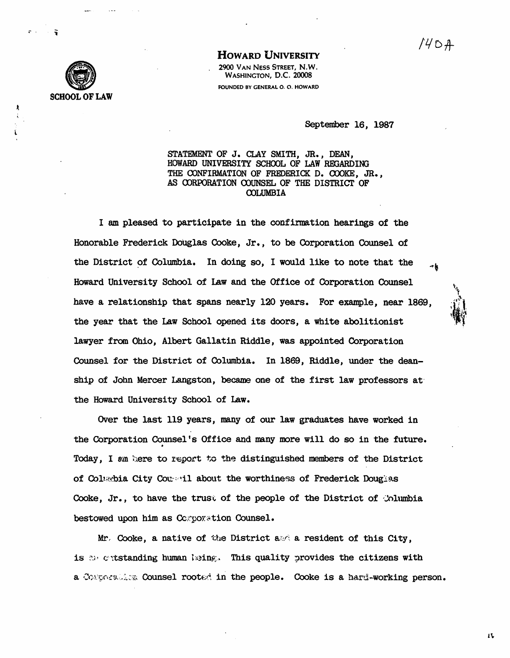$1404$ 



**HOWARD UNIVERSITY** 2900 VAN NESS STREET. N.W. WASHINGTON, D.C. 20008 FOUNDED BY GENERAL O. O. HOWARD

September 16, 1987

STATEMENT OF J. CLAY SMITH, JR., DEAN, HOWARD UNIVERSITY SCHOOL OF LAW REGARDING THE CONFIRMATION OF FREDERICK D. COOKE, JR., AS CORPORATION COUNSEL OF THE DISTRICT OF **COLUMBIA** 

I am pleased to participate in the confirmation hearings of the Honorable Frederick Douglas Cooke, Jr., to be Corporation Counsel of the District of Columbia. In doing so, I would like to note that the Howard University School of Law and the Office of Corporation Counsel have a relationship that spans nearly 120 years. For example, near 1869, the year that the Law School opened its doors, a white abolitionist lawyer from Ohio, Albert Gallatin Riddle, was appointed Corporation Counsel for the District of Columbia. In 1869, Riddle, under the deanship of John Mercer Langston, became one of the first law professors at the Howard University School of Law.

Over the last 119 years, many of our law graduates have worked in the Corporation Counsel's Office and many more will do so in the future. Today, I am here to report to the distinguished members of the District of Columbia City Conseil about the worthiness of Frederick Douglas Cooke, Jr., to have the trust of the people of the District of Columbia bestowed upon him as Componention Counsel.

Mr. Cooke, a native of the District  $a \otimes a$  a resident of this City, is a cutstanding human keing. This quality provides the citizens with a Contrasting Counsel rooted in the people. Cooke is a hard-working person.

17